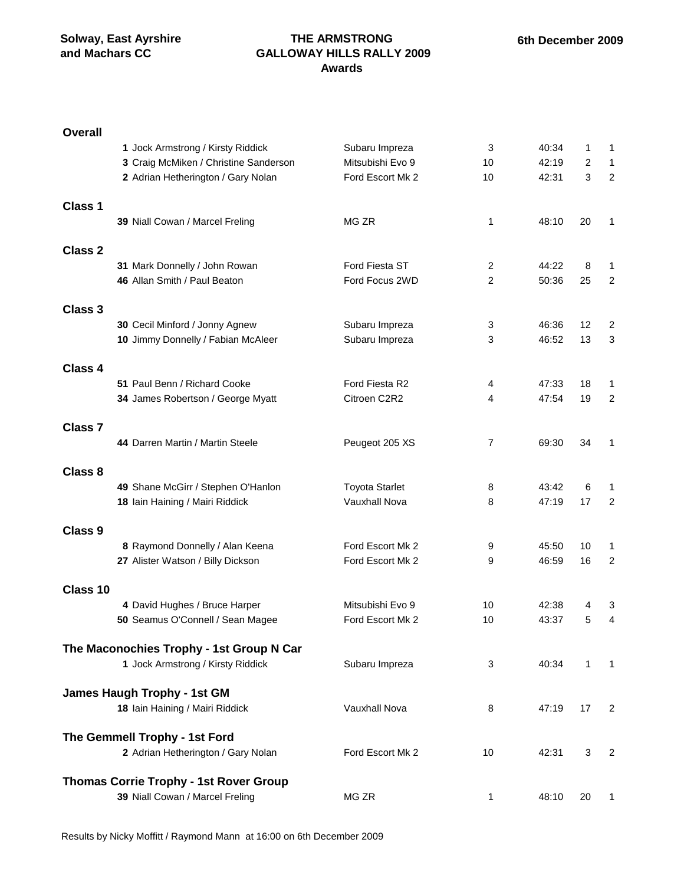**Overall**

#### **THE ARMSTRONG GALLOWAY HILLS RALLY 2009 Awards**

# **1** Jock Armstrong / Kirsty Riddick Subaru Impreza 3 40:34 1 1 **3** Craig McMiken / Christine Sanderson Mitsubishi Evo 9 10 42:19 2 1 2 Adrian Hetherington / Gary Nolan **Ford Escort Mk 2** 10 42:31 3 2 **Class 1 39** Niall Cowan / Marcel Freling MG ZR 1 48:10 20 1 **Class 2 31** Mark Donnelly / John Rowan Ford Fiesta ST 2 44:22 8 1 **46** Allan Smith / Paul Beaton Ford Focus 2WD 2 50:36 25 2 **Class 3 30** Cecil Minford / Jonny Agnew Subaru Impreza 3 46:36 12 2 **10** Jimmy Donnelly / Fabian McAleer Subaru Impreza 3 46:52 13 3 **Class 4 51** Paul Benn / Richard Cooke **Ford Fiesta R2** 4 47:33 18 1 **34** James Robertson / George Myatt Citroen C2R2 4 47:54 19 2 **Class 7 44 Darren Martin / Martin Steele** Peugeot 205 XS 7 69:30 34 1 **Class 8 49** Shane McGirr / Stephen O'Hanlon Toyota Starlet 8 43:42 6 1 **18** Iain Haining / Mairi Riddick Vauxhall Nova 8 47:19 17 2 **Class 9** 8 Raymond Donnelly / Alan Keena Ford Escort Mk 2 9 45:50 10 1 **27** Alister Watson / Billy Dickson **Ford Escort Mk 2** 9 46:59 16 2 **Class 10 4** David Hughes / Bruce Harper Mitsubishi Evo 9 10 42:38 4 3 **50** Seamus O'Connell / Sean Magee Ford Escort Mk 2 10 43:37 5 4 **The Maconochies Trophy - 1st Group N Car 1** Jock Armstrong / Kirsty Riddick Subaru Impreza 3 40:34 1 1 **James Haugh Trophy - 1st GM 18** Iain Haining / Mairi Riddick Vauxhall Nova 8 47:19 17 2 **The Gemmell Trophy - 1st Ford** 2 Adrian Hetherington / Gary Nolan **Ford Escort Mk 2** 10 42:31 3 2 **Thomas Corrie Trophy - 1st Rover Group 39** Niall Cowan / Marcel Freling MG ZR 1 48:10 20 1

Results by Nicky Moffitt / Raymond Mann at 16:00 on 6th December 2009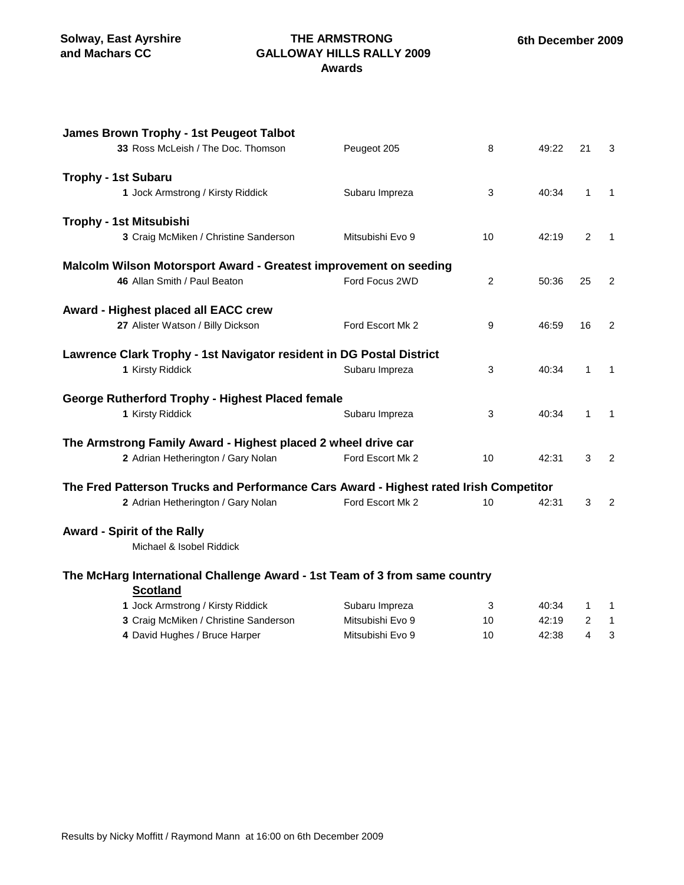### **THE ARMSTRONG GALLOWAY HILLS RALLY 2009 Awards**

| James Brown Trophy - 1st Peugeot Talbot                                                       |                  |    |       |                |              |
|-----------------------------------------------------------------------------------------------|------------------|----|-------|----------------|--------------|
| 33 Ross McLeish / The Doc. Thomson                                                            | Peugeot 205      | 8  | 49:22 | 21             | 3            |
| <b>Trophy - 1st Subaru</b>                                                                    |                  |    |       |                |              |
| 1 Jock Armstrong / Kirsty Riddick                                                             | Subaru Impreza   | 3  | 40:34 | $\mathbf{1}$   | $\mathbf{1}$ |
| Trophy - 1st Mitsubishi                                                                       |                  |    |       |                |              |
| 3 Craig McMiken / Christine Sanderson                                                         | Mitsubishi Evo 9 | 10 | 42:19 | 2              | $\mathbf{1}$ |
| Malcolm Wilson Motorsport Award - Greatest improvement on seeding                             |                  |    |       |                |              |
| 46 Allan Smith / Paul Beaton                                                                  | Ford Focus 2WD   | 2  | 50:36 | 25             | 2            |
| Award - Highest placed all EACC crew                                                          |                  |    |       |                |              |
| 27 Alister Watson / Billy Dickson                                                             | Ford Escort Mk 2 | 9  | 46:59 | 16             | 2            |
| Lawrence Clark Trophy - 1st Navigator resident in DG Postal District                          |                  |    |       |                |              |
| 1 Kirsty Riddick                                                                              | Subaru Impreza   | 3  | 40:34 | 1              | $\mathbf{1}$ |
| <b>George Rutherford Trophy - Highest Placed female</b>                                       |                  |    |       |                |              |
| 1 Kirsty Riddick                                                                              | Subaru Impreza   | 3  | 40:34 | 1              | $\mathbf{1}$ |
| The Armstrong Family Award - Highest placed 2 wheel drive car                                 |                  |    |       |                |              |
| 2 Adrian Hetherington / Gary Nolan                                                            | Ford Escort Mk 2 | 10 | 42:31 | 3              | 2            |
| The Fred Patterson Trucks and Performance Cars Award - Highest rated Irish Competitor         |                  |    |       |                |              |
| 2 Adrian Hetherington / Gary Nolan                                                            | Ford Escort Mk 2 | 10 | 42:31 | 3              | 2            |
| <b>Award - Spirit of the Rally</b>                                                            |                  |    |       |                |              |
| Michael & Isobel Riddick                                                                      |                  |    |       |                |              |
| The McHarg International Challenge Award - 1st Team of 3 from same country<br><b>Scotland</b> |                  |    |       |                |              |
| 1 Jock Armstrong / Kirsty Riddick                                                             | Subaru Impreza   | 3  | 40:34 | 1              | 1            |
| 3 Craig McMiken / Christine Sanderson                                                         | Mitsubishi Evo 9 | 10 | 42:19 | $\overline{2}$ | $\mathbf{1}$ |

4 David Hughes / Bruce Harper Mitsubishi Evo 9 10 42:38 4 3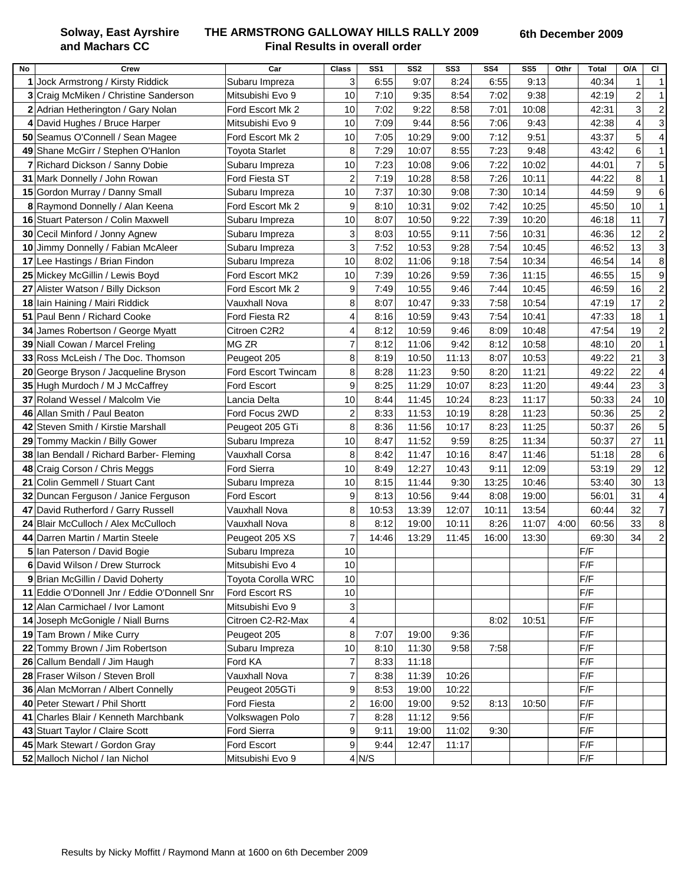**Solway, East Ayrshire and Machars CC**

### **THE ARMSTRONG GALLOWAY HILLS RALLY 2009 Final Results in overall order**

| No | Crew                                         | Car                       | <b>Class</b> | SS <sub>1</sub> | SS <sub>2</sub> | SS3   | SS4   | SS <sub>5</sub> | Othr | <b>Total</b> | <b>O/A</b>     | <b>CI</b>                |
|----|----------------------------------------------|---------------------------|--------------|-----------------|-----------------|-------|-------|-----------------|------|--------------|----------------|--------------------------|
|    | 1 Jock Armstrong / Kirsty Riddick            | Subaru Impreza            | 3            | 6:55            | 9:07            | 8:24  | 6:55  | 9:13            |      | 40:34        | 1              | $\mathbf{1}$             |
|    | 3 Craig McMiken / Christine Sanderson        | Mitsubishi Evo 9          | 10           | 7:10            | 9:35            | 8:54  | 7:02  | 9:38            |      | 42:19        | $\overline{c}$ | $\mathbf{1}$             |
|    | 2 Adrian Hetherington / Gary Nolan           | Ford Escort Mk 2          | 10           | 7:02            | 9:22            | 8:58  | 7:01  | 10:08           |      | 42:31        | $\mathbf{3}$   | $\overline{2}$           |
|    | 4 David Hughes / Bruce Harper                | Mitsubishi Evo 9          | 10           | 7:09            | 9:44            | 8:56  | 7:06  | 9:43            |      | 42:38        | 4              | 3                        |
|    | 50 Seamus O'Connell / Sean Magee             | Ford Escort Mk 2          | 10           | 7:05            | 10:29           | 9:00  | 7:12  | 9:51            |      | 43:37        | 5              | $\overline{\mathcal{A}}$ |
|    | 49 Shane McGirr / Stephen O'Hanlon           | <b>Toyota Starlet</b>     | 8            | 7:29            | 10:07           | 8:55  | 7:23  | 9:48            |      | 43:42        | 6              | $\mathbf{1}$             |
|    | Richard Dickson / Sanny Dobie                | Subaru Impreza            | 10           | 7:23            | 10:08           | 9:06  | 7:22  | 10:02           |      | 44:01        | $\overline{7}$ | 5                        |
|    | 31 Mark Donnelly / John Rowan                | Ford Fiesta ST            | 2            | 7:19            | 10:28           | 8:58  | 7:26  | 10:11           |      | 44:22        | 8              | $\mathbf{1}$             |
|    | 15 Gordon Murray / Danny Small               | Subaru Impreza            | 10           | 7:37            | 10:30           | 9:08  | 7:30  | 10:14           |      | 44:59        | 9              | 6                        |
|    | 8 Raymond Donnelly / Alan Keena              | Ford Escort Mk 2          | 9            | 8:10            | 10:31           | 9:02  | 7:42  | 10:25           |      | 45:50        | 10             | $\mathbf 1$              |
|    | 16 Stuart Paterson / Colin Maxwell           | Subaru Impreza            | 10           | 8:07            | 10:50           | 9:22  | 7:39  | 10:20           |      | 46:18        | 11             | $\overline{7}$           |
|    | 30 Cecil Minford / Jonny Agnew               | Subaru Impreza            | 3            | 8:03            | 10:55           | 9:11  | 7:56  | 10:31           |      | 46:36        | 12             | $\overline{2}$           |
|    | 10 Jimmy Donnelly / Fabian McAleer           | Subaru Impreza            | 3            | 7:52            | 10:53           | 9:28  | 7:54  | 10:45           |      | 46:52        | 13             | 3                        |
| 17 | Lee Hastings / Brian Findon                  | Subaru Impreza            | 10           | 8:02            | 11:06           | 9:18  | 7:54  | 10:34           |      | 46:54        | 14             | 8                        |
|    | 25 Mickey McGillin / Lewis Boyd              | Ford Escort MK2           | 10           | 7:39            | 10:26           | 9:59  | 7:36  | 11:15           |      | 46:55        | 15             | 9                        |
|    | 27 Alister Watson / Billy Dickson            | Ford Escort Mk 2          | 9            | 7:49            | 10:55           | 9:46  | 7:44  | 10:45           |      | 46:59        | 16             | $\overline{c}$           |
|    | 18 Iain Haining / Mairi Riddick              | <b>Vauxhall Nova</b>      | 8            | 8:07            | 10:47           | 9:33  | 7:58  | 10:54           |      | 47:19        | 17             | $\overline{2}$           |
|    | 51 Paul Benn / Richard Cooke                 | Ford Fiesta R2            | 4            | 8:16            | 10:59           | 9:43  | 7:54  | 10:41           |      | 47:33        | 18             | $\mathbf{1}$             |
| 34 | James Robertson / George Myatt               | Citroen C2R2              | 4            | 8:12            | 10:59           | 9:46  | 8:09  | 10:48           |      | 47:54        | 19             | $\overline{c}$           |
|    | 39 Niall Cowan / Marcel Freling              | MG ZR                     | 7            | 8:12            | 11:06           | 9:42  | 8:12  | 10:58           |      | 48:10        | 20             | $\mathbf{1}$             |
|    | 33 Ross McLeish / The Doc. Thomson           | Peugeot 205               | 8            | 8:19            | 10:50           | 11:13 | 8:07  | 10:53           |      | 49:22        | 21             | 3                        |
| 20 | George Bryson / Jacqueline Bryson            | Ford Escort Twincam       | 8            | 8:28            | 11:23           | 9:50  | 8:20  | 11:21           |      | 49:22        | 22             | 4                        |
|    | 35 Hugh Murdoch / M J McCaffrey              | Ford Escort               | 9            | 8:25            | 11:29           | 10:07 | 8:23  | 11:20           |      | 49:44        | 23             | 3                        |
|    | 37 Roland Wessel / Malcolm Vie               | Lancia Delta              | 10           | 8:44            | 11:45           | 10:24 | 8:23  | 11:17           |      | 50:33        | 24             | 10                       |
|    | 46 Allan Smith / Paul Beaton                 | Ford Focus 2WD            | 2            | 8:33            | 11:53           | 10:19 | 8:28  | 11:23           |      | 50:36        | 25             | $\overline{c}$           |
|    | 42 Steven Smith / Kirstie Marshall           | Peugeot 205 GTi           | 8            | 8:36            | 11:56           | 10:17 | 8:23  | 11:25           |      | 50:37        | 26             | 5                        |
| 29 | Tommy Mackin / Billy Gower                   | Subaru Impreza            | 10           | 8:47            | 11:52           | 9:59  | 8:25  | 11:34           |      | 50:37        | 27             | 11                       |
|    | 38 Ian Bendall / Richard Barber- Fleming     | Vauxhall Corsa            | 8            | 8:42            | 11:47           | 10:16 | 8:47  | 11:46           |      | 51:18        | 28             | 6                        |
|    | 48 Craig Corson / Chris Meggs                | Ford Sierra               | 10           | 8:49            | 12:27           | 10:43 | 9:11  | 12:09           |      | 53:19        | 29             | 12                       |
| 21 | Colin Gemmell / Stuart Cant                  | Subaru Impreza            | 10           | 8:15            | 11:44           | 9:30  | 13:25 | 10:46           |      | 53:40        | 30             | 13                       |
|    | 32 Duncan Ferguson / Janice Ferguson         | Ford Escort               | 9            | 8:13            | 10:56           | 9:44  | 8:08  | 19:00           |      | 56:01        | 31             | $\overline{4}$           |
|    | 47 David Rutherford / Garry Russell          | Vauxhall Nova             | 8            | 10:53           | 13:39           | 12:07 | 10:11 | 13:54           |      | 60:44        | 32             | $\overline{7}$           |
|    | 24 Blair McCulloch / Alex McCulloch          | <b>Vauxhall Nova</b>      | 8            | 8:12            | 19:00           | 10:11 | 8:26  | 11:07           | 4:00 | 60:56        | 33             | 8                        |
|    | 44 Darren Martin / Martin Steele             | Peugeot 205 XS            | 7            | 14:46           | 13:29           | 11:45 | 16:00 | 13:30           |      | 69:30        | 34             | $\overline{2}$           |
|    | 5 Ian Paterson / David Bogie                 | Subaru Impreza            | 10           |                 |                 |       |       |                 |      | F/F          |                |                          |
|    | 6 David Wilson / Drew Sturrock               | Mitsubishi Evo 4          | 10           |                 |                 |       |       |                 |      | F/F          |                |                          |
|    | 9 Brian McGillin / David Doherty             | <b>Toyota Corolla WRC</b> | 10           |                 |                 |       |       |                 |      | F/F          |                |                          |
|    | 11 Eddie O'Donnell Jnr / Eddie O'Donnell Snr | Ford Escort RS            | 10           |                 |                 |       |       |                 |      | F/F          |                |                          |
|    | 12 Alan Carmichael / Ivor Lamont             | Mitsubishi Evo 9          | 3            |                 |                 |       |       |                 |      | F/F          |                |                          |
|    | 14 Joseph McGonigle / Niall Burns            | Citroen C2-R2-Max         | 4            |                 |                 |       | 8:02  | 10:51           |      | F/F          |                |                          |
|    | 19 Tam Brown / Mike Curry                    | Peugeot 205               | 8            | 7:07            | 19:00           | 9:36  |       |                 |      | F/F          |                |                          |
|    | 22 Tommy Brown / Jim Robertson               | Subaru Impreza            | 10           | 8:10            | 11:30           | 9:58  | 7:58  |                 |      | F/F          |                |                          |
|    | 26 Callum Bendall / Jim Haugh                | Ford KA                   | 7            | 8:33            | 11:18           |       |       |                 |      | F/F          |                |                          |
|    | 28 Fraser Wilson / Steven Broll              | Vauxhall Nova             | 7            | 8:38            | 11:39           | 10:26 |       |                 |      | F/F          |                |                          |
|    | 36 Alan McMorran / Albert Connelly           | Peugeot 205GTi            | 9            | 8:53            | 19:00           | 10:22 |       |                 |      | F/F          |                |                          |
|    | 40 Peter Stewart / Phil Shortt               | Ford Fiesta               | 2            | 16:00           | 19:00           | 9:52  | 8:13  | 10:50           |      | F/F          |                |                          |
|    | 41 Charles Blair / Kenneth Marchbank         | Volkswagen Polo           | 7            | 8:28            | 11:12           | 9:56  |       |                 |      | F/F          |                |                          |
|    | 43 Stuart Taylor / Claire Scott              | <b>Ford Sierra</b>        | 9            | 9:11            | 19:00           | 11:02 | 9:30  |                 |      | F/F          |                |                          |
|    | 45 Mark Stewart / Gordon Gray                | Ford Escort               | 9            | 9:44            | 12:47           | 11:17 |       |                 |      | F/F          |                |                          |
|    | 52 Malloch Nichol / Ian Nichol               | Mitsubishi Evo 9          |              | $4$ N/S         |                 |       |       |                 |      | F/F          |                |                          |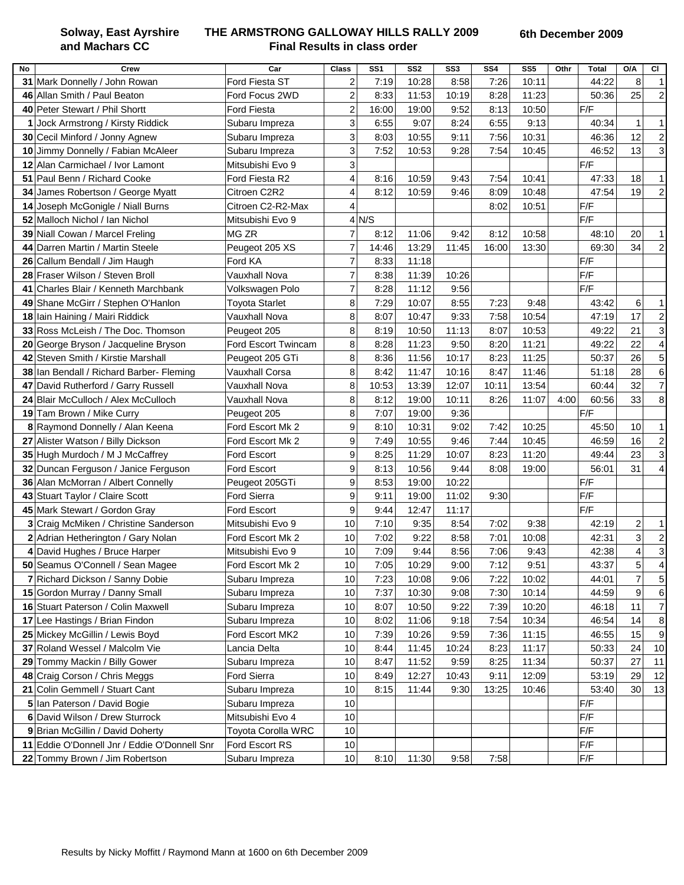**Solway, East Ayrshire and Machars CC**

### **THE ARMSTRONG GALLOWAY HILLS RALLY 2009 Final Results in class order**

|    | Crew                                         | Car                   | <b>Class</b>            | SS <sub>1</sub> | SS <sub>2</sub> | SS3   | SS4   | SS <sub>5</sub> |      | <b>Total</b> | O/A            | <b>CI</b>      |
|----|----------------------------------------------|-----------------------|-------------------------|-----------------|-----------------|-------|-------|-----------------|------|--------------|----------------|----------------|
| No | 31 Mark Donnelly / John Rowan                | Ford Fiesta ST        | 2                       | 7:19            | 10:28           | 8:58  | 7:26  | 10:11           | Othr | 44:22        | 8              | $\overline{1}$ |
|    | 46 Allan Smith / Paul Beaton                 | Ford Focus 2WD        | $\overline{c}$          | 8:33            | 11:53           | 10:19 | 8:28  | 11:23           |      | 50:36        | 25             | $\overline{c}$ |
|    | 40 Peter Stewart / Phil Shortt               | Ford Fiesta           | $\overline{\mathbf{c}}$ | 16:00           | 19:00           | 9:52  | 8:13  | 10:50           |      | F/F          |                |                |
| 1  | Jock Armstrong / Kirsty Riddick              | Subaru Impreza        | 3                       | 6:55            | 9:07            | 8:24  | 6:55  | 9:13            |      | 40:34        | $\mathbf{1}$   | $\mathbf{1}$   |
| 30 | Cecil Minford / Jonny Agnew                  | Subaru Impreza        | 3                       | 8:03            | 10:55           | 9:11  | 7:56  | 10:31           |      | 46:36        | 12             | $\overline{c}$ |
| 10 | Jimmy Donnelly / Fabian McAleer              | Subaru Impreza        | 3                       | 7:52            | 10:53           | 9:28  | 7:54  | 10:45           |      | 46:52        | 13             | 3              |
| 12 | Alan Carmichael / Ivor Lamont                | Mitsubishi Evo 9      | 3                       |                 |                 |       |       |                 |      | F/F          |                |                |
|    | 51 Paul Benn / Richard Cooke                 | Ford Fiesta R2        | 4                       | 8:16            | 10:59           | 9:43  | 7:54  | 10:41           |      | 47:33        | 18             | $\mathbf 1$    |
| 34 | James Robertson / George Myatt               | Citroen C2R2          | 4                       | 8:12            | 10:59           | 9:46  | 8:09  | 10:48           |      | 47:54        | 19             | $\overline{2}$ |
| 14 | Joseph McGonigle / Niall Burns               | Citroen C2-R2-Max     | 4                       |                 |                 |       | 8:02  | 10:51           |      | F/F          |                |                |
|    | 52 Malloch Nichol / Ian Nichol               | Mitsubishi Evo 9      |                         | 4 N/S           |                 |       |       |                 |      | F/F          |                |                |
|    | 39 Niall Cowan / Marcel Freling              | <b>MG ZR</b>          | 7                       | 8:12            | 11:06           | 9:42  | 8:12  | 10:58           |      | 48:10        | 20             | $\mathbf 1$    |
|    | 44 Darren Martin / Martin Steele             | Peugeot 205 XS        | $\overline{7}$          | 14:46           | 13:29           | 11:45 | 16:00 | 13:30           |      | 69:30        | 34             | $\overline{2}$ |
|    | 26 Callum Bendall / Jim Haugh                | Ford KA               | $\overline{7}$          | 8:33            | 11:18           |       |       |                 |      | F/F          |                |                |
|    | 28 Fraser Wilson / Steven Broll              | Vauxhall Nova         | $\overline{7}$          | 8:38            | 11:39           | 10:26 |       |                 |      | F/F          |                |                |
|    | 41 Charles Blair / Kenneth Marchbank         | Volkswagen Polo       | 7                       | 8:28            | 11:12           | 9:56  |       |                 |      | F/F          |                |                |
|    | 49 Shane McGirr / Stephen O'Hanlon           | <b>Toyota Starlet</b> | 8                       | 7:29            | 10:07           | 8:55  | 7:23  | 9:48            |      | 43:42        | 6              | $\overline{1}$ |
|    | 18 Iain Haining / Mairi Riddick              | Vauxhall Nova         | 8                       | 8:07            | 10:47           | 9:33  | 7:58  | 10:54           |      | 47:19        | 17             | $\overline{2}$ |
|    | 33 Ross McLeish / The Doc. Thomson           | Peugeot 205           | 8                       | 8:19            | 10:50           | 11:13 | 8:07  | 10:53           |      | 49:22        | 21             | 3              |
|    | 20 George Bryson / Jacqueline Bryson         | Ford Escort Twincam   | 8                       | 8:28            | 11:23           | 9:50  | 8:20  | 11:21           |      | 49:22        | 22             | 4              |
| 42 | Steven Smith / Kirstie Marshall              | Peugeot 205 GTi       | 8                       | 8:36            | 11:56           | 10:17 | 8:23  | 11:25           |      | 50:37        | 26             | 5              |
| 38 | Ian Bendall / Richard Barber- Fleming        | Vauxhall Corsa        | 8                       | 8:42            | 11:47           | 10:16 | 8:47  | 11:46           |      | 51:18        | 28             | 6              |
| 47 | David Rutherford / Garry Russell             | Vauxhall Nova         | 8                       | 10:53           | 13:39           | 12:07 | 10:11 | 13:54           |      | 60:44        | 32             | $\overline{7}$ |
|    | 24 Blair McCulloch / Alex McCulloch          | Vauxhall Nova         | 8                       | 8:12            | 19:00           | 10:11 | 8:26  | 11:07           | 4:00 | 60:56        | 33             | 8              |
|    | 19 Tam Brown / Mike Curry                    | Peugeot 205           | 8                       | 7:07            | 19:00           | 9:36  |       |                 |      | F/F          |                |                |
|    | 8 Raymond Donnelly / Alan Keena              | Ford Escort Mk 2      | 9                       | 8:10            | 10:31           | 9:02  | 7:42  | 10:25           |      | 45:50        | 10             | $\mathbf 1$    |
|    | 27 Alister Watson / Billy Dickson            | Ford Escort Mk 2      | 9                       | 7:49            | 10:55           | 9:46  | 7:44  | 10:45           |      | 46:59        | 16             | $\overline{c}$ |
|    | 35 Hugh Murdoch / M J McCaffrey              | Ford Escort           | 9                       | 8:25            | 11:29           | 10:07 | 8:23  | 11:20           |      | 49:44        | 23             | 3              |
|    | 32 Duncan Ferguson / Janice Ferguson         | Ford Escort           | 9                       | 8:13            | 10:56           | 9:44  | 8:08  | 19:00           |      | 56:01        | 31             | 4              |
|    | 36 Alan McMorran / Albert Connelly           | Peugeot 205GTi        | 9                       | 8:53            | 19:00           | 10:22 |       |                 |      | F/F          |                |                |
|    | 43 Stuart Taylor / Claire Scott              | Ford Sierra           | 9                       | 9:11            | 19:00           | 11:02 | 9:30  |                 |      | F/F          |                |                |
|    | 45 Mark Stewart / Gordon Gray                | <b>Ford Escort</b>    | 9                       | 9:44            | 12:47           | 11:17 |       |                 |      | F/F          |                |                |
|    | 3 Craig McMiken / Christine Sanderson        | Mitsubishi Evo 9      | 10                      | 7:10            | 9:35            | 8:54  | 7:02  | 9:38            |      | 42:19        | $\overline{c}$ | $\mathbf{1}$   |
|    | 2 Adrian Hetherington / Gary Nolan           | Ford Escort Mk 2      | 10                      | 7:02            | 9:22            | 8:58  | 7:01  | 10:08           |      | 42:31        | 3              | $\overline{a}$ |
|    | 4 David Hughes / Bruce Harper                | Mitsubishi Evo 9      | 10                      | 7:09            | 9:44            | 8:56  | 7:06  | 9:43            |      | 42:38        | $\overline{4}$ | 3              |
|    | 50 Seamus O'Connell / Sean Magee             | Ford Escort Mk 2      | 10                      | 7:05            | 10:29           | 9:00  | 7:12  | 9:51            |      | 43:37        | $\sqrt{5}$     | 4              |
|    | 7 Richard Dickson / Sanny Dobie              | Subaru Impreza        | 10                      | 7:23            | 10:08           | 9:06  | 7:22  | 10:02           |      | 44:01        | $\overline{7}$ | 5              |
|    | 15 Gordon Murray / Danny Small               | Subaru Impreza        | 10                      | 7:37            | 10:30           | 9:08  | 7:30  | 10:14           |      | 44:59        | 9              | 6              |
|    | 16 Stuart Paterson / Colin Maxwell           | Subaru Impreza        | 10                      | 8:07            | 10:50           | 9:22  | 7:39  | 10:20           |      | 46:18        | 11             | $\overline{7}$ |
|    | 17 Lee Hastings / Brian Findon               | Subaru Impreza        | 10                      | 8:02            | 11:06           | 9:18  | 7:54  | 10:34           |      | 46:54        | 14             | 8              |
|    | 25 Mickey McGillin / Lewis Boyd              | Ford Escort MK2       | 10                      | 7:39            | 10:26           | 9:59  | 7:36  | 11:15           |      | 46:55        | 15             | 9              |
|    | 37 Roland Wessel / Malcolm Vie               | Lancia Delta          | 10                      | 8:44            | 11:45           | 10:24 | 8:23  | 11:17           |      | 50:33        | 24             | 10             |
|    | 29 Tommy Mackin / Billy Gower                | Subaru Impreza        | 10                      | 8:47            | 11:52           | 9:59  | 8:25  | 11:34           |      | 50:37        | 27             | 11             |
|    | 48 Craig Corson / Chris Meggs                | Ford Sierra           | 10                      | 8:49            | 12:27           | 10:43 | 9:11  | 12:09           |      | 53:19        | 29             | 12             |
|    | 21 Colin Gemmell / Stuart Cant               | Subaru Impreza        | 10                      | 8:15            | 11:44           | 9:30  | 13:25 | 10:46           |      | 53:40        | 30             | 13             |
|    | 5 Ian Paterson / David Bogie                 | Subaru Impreza        | 10                      |                 |                 |       |       |                 |      | F/F          |                |                |
|    | 6 David Wilson / Drew Sturrock               | Mitsubishi Evo 4      | 10                      |                 |                 |       |       |                 |      | F/F          |                |                |
|    | 9 Brian McGillin / David Doherty             | Toyota Corolla WRC    | 10                      |                 |                 |       |       |                 |      | F/F          |                |                |
|    | 11 Eddie O'Donnell Jnr / Eddie O'Donnell Snr | Ford Escort RS        | 10                      |                 |                 |       |       |                 |      | F/F          |                |                |
|    | 22 Tommy Brown / Jim Robertson               | Subaru Impreza        | 10                      | 8:10            | 11:30           | 9:58  | 7:58  |                 |      | F/F          |                |                |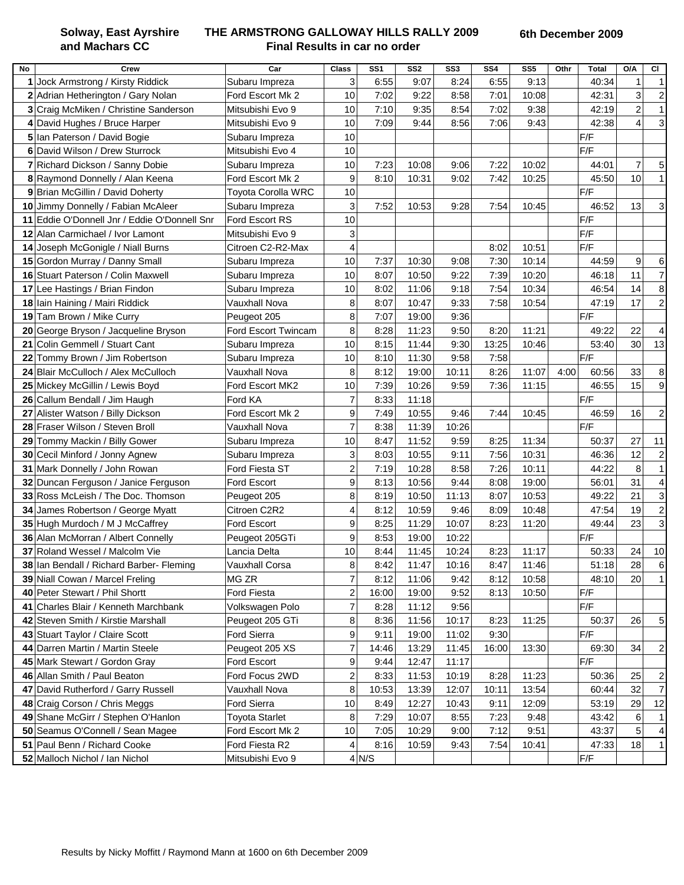**Solway, East Ayrshire and Machars CC**

### **THE ARMSTRONG GALLOWAY HILLS RALLY 2009 Final Results in car no order**

| No | <b>Crew</b>                               | Car                   | <b>Class</b>            | SS <sub>1</sub> | SS <sub>2</sub> | SS <sub>3</sub> | SS <sub>4</sub> | SS <sub>5</sub> | Othr | <b>Total</b>            | O/A            | <b>CI</b>               |
|----|-------------------------------------------|-----------------------|-------------------------|-----------------|-----------------|-----------------|-----------------|-----------------|------|-------------------------|----------------|-------------------------|
|    | 1 Jock Armstrong / Kirsty Riddick         | Subaru Impreza        | 3                       | 6:55            | 9:07            | 8:24            | 6:55            | 9:13            |      | 40:34                   | 1              | $\mathbf 1$             |
|    | 2 Adrian Hetherington / Gary Nolan        | Ford Escort Mk 2      | 10                      | 7:02            | 9:22            | 8:58            | 7:01            | 10:08           |      | 42:31                   | 3              | $\overline{c}$          |
|    | 3 Craig McMiken / Christine Sanderson     | Mitsubishi Evo 9      | 10                      | 7:10            | 9:35            | 8:54            | 7:02            | 9:38            |      | 42:19                   | $\overline{a}$ | $\mathbf{1}$            |
|    | 4 David Hughes / Bruce Harper             | Mitsubishi Evo 9      | 10                      | 7:09            | 9:44            | 8:56            | 7:06            | 9:43            |      | 42:38                   | $\overline{4}$ | 3                       |
| 5  | Ian Paterson / David Bogie                | Subaru Impreza        | 10                      |                 |                 |                 |                 |                 |      | F/F                     |                |                         |
| 6  | David Wilson / Drew Sturrock              | Mitsubishi Evo 4      | 10                      |                 |                 |                 |                 |                 |      | F/F                     |                |                         |
| 7  | Richard Dickson / Sanny Dobie             | Subaru Impreza        | 10                      | 7:23            | 10:08           | 9:06            | 7:22            | 10:02           |      | 44:01                   | $\overline{7}$ | 5                       |
| 8  | Raymond Donnelly / Alan Keena             | Ford Escort Mk 2      | 9                       | 8:10            | 10:31           | 9:02            | 7:42            | 10:25           |      | 45:50                   | 10             | $\mathbf{1}$            |
| 9  | Brian McGillin / David Doherty            | Toyota Corolla WRC    | 10                      |                 |                 |                 |                 |                 |      | F/F                     |                |                         |
| 10 | Jimmy Donnelly / Fabian McAleer           | Subaru Impreza        | 3                       | 7:52            | 10:53           | 9:28            | 7:54            | 10:45           |      | 46:52                   | 13             | 3                       |
| 11 | Eddie O'Donnell Jnr / Eddie O'Donnell Snr | Ford Escort RS        | 10                      |                 |                 |                 |                 |                 |      | F/F                     |                |                         |
| 12 | Alan Carmichael / Ivor Lamont             | Mitsubishi Evo 9      | 3                       |                 |                 |                 |                 |                 |      | F/F                     |                |                         |
| 14 | Joseph McGonigle / Niall Burns            | Citroen C2-R2-Max     | 4                       |                 |                 |                 | 8:02            | 10:51           |      | F/F                     |                |                         |
| 15 | Gordon Murray / Danny Small               | Subaru Impreza        | 10                      | 7:37            | 10:30           | 9:08            | 7:30            | 10:14           |      | 44:59                   | 9              | 6                       |
| 16 | Stuart Paterson / Colin Maxwell           | Subaru Impreza        | 10                      | 8:07            | 10:50           | 9:22            | 7:39            | 10:20           |      | 46:18                   | 11             | $\overline{7}$          |
| 17 | Lee Hastings / Brian Findon               | Subaru Impreza        | 10                      | 8:02            | 11:06           | 9:18            | 7:54            | 10:34           |      | 46:54                   | 14             | 8                       |
| 18 | Iain Haining / Mairi Riddick              | <b>Vauxhall Nova</b>  | 8                       | 8:07            | 10:47           | 9:33            | 7:58            | 10:54           |      | 47:19                   | 17             | $\overline{c}$          |
|    | 19 Tam Brown / Mike Curry                 | Peugeot 205           | 8                       | 7:07            | 19:00           | 9:36            |                 |                 |      | F/F                     |                |                         |
| 20 | George Bryson / Jacqueline Bryson         | Ford Escort Twincam   | 8                       | 8:28            | 11:23           | 9:50            | 8:20            | 11:21           |      | 49:22                   | 22             | 4                       |
| 21 | Colin Gemmell / Stuart Cant               | Subaru Impreza        | 10                      | 8:15            | 11:44           | 9:30            | 13:25           | 10:46           |      | 53:40                   | 30             | 13                      |
| 22 | Tommy Brown / Jim Robertson               | Subaru Impreza        | 10                      | 8:10            | 11:30           | 9:58            | 7:58            |                 |      | F/F                     |                |                         |
| 24 | Blair McCulloch / Alex McCulloch          | Vauxhall Nova         | 8                       | 8:12            | 19:00           | 10:11           | 8:26            | 11:07           | 4:00 | 60:56                   | 33             | 8                       |
| 25 | Mickey McGillin / Lewis Boyd              | Ford Escort MK2       | 10                      | 7:39            | 10:26           | 9:59            | 7:36            | 11:15           |      | 46:55                   | 15             | 9                       |
| 26 | Callum Bendall / Jim Haugh                | Ford KA               | $\overline{7}$          | 8:33            | 11:18           |                 |                 |                 |      | F/F                     |                |                         |
| 27 | Alister Watson / Billy Dickson            | Ford Escort Mk 2      | 9                       | 7:49            | 10:55           | 9:46            | 7:44            | 10:45           |      | 46:59                   | 16             | $\overline{2}$          |
| 28 | Fraser Wilson / Steven Broll              | <b>Vauxhall Nova</b>  | $\overline{7}$          | 8:38            | 11:39           | 10:26           |                 |                 |      | F/F                     |                |                         |
| 29 | Tommy Mackin / Billy Gower                | Subaru Impreza        | 10                      | 8:47            | 11:52           | 9:59            | 8:25            | 11:34           |      | 50:37                   | 27             | 11                      |
| 30 | Cecil Minford / Jonny Agnew               | Subaru Impreza        | 3                       | 8:03            | 10:55           | 9:11            | 7:56            | 10:31           |      | 46:36                   | 12             | $\overline{c}$          |
| 31 | Mark Donnelly / John Rowan                | Ford Fiesta ST        | $\overline{c}$          | 7:19            | 10:28           | 8:58            | 7:26            | 10:11           |      | 44:22                   | 8              | $\mathbf{1}$            |
| 32 | Duncan Ferguson / Janice Ferguson         | Ford Escort           | 9                       | 8:13            | 10:56           | 9:44            | 8:08            | 19:00           |      | 56:01                   | 31             | 4                       |
| 33 | Ross McLeish / The Doc. Thomson           | Peugeot 205           | 8                       | 8:19            | 10:50           | 11:13           | 8:07            | 10:53           |      | 49:22                   | 21             | 3                       |
| 34 | James Robertson / George Myatt            | Citroen C2R2          | 4                       | 8:12            | 10:59           | 9:46            | 8:09            | 10:48           |      | 47:54                   | 19             | $\overline{c}$          |
|    | 35 Hugh Murdoch / M J McCaffrey           | Ford Escort           | 9                       | 8:25            | 11:29           | 10:07           | 8:23            | 11:20           |      | 49:44                   | 23             | 3                       |
|    | 36 Alan McMorran / Albert Connelly        | Peugeot 205GTi        | 9                       | 8:53            | 19:00           | 10:22           |                 |                 |      | F/F                     |                |                         |
|    | 37 Roland Wessel / Malcolm Vie            | Lancia Delta          | 10                      | 8:44            | 11:45           | 10:24           | 8:23            | 11:17           |      | 50:33                   | 24             | 10                      |
|    | 38 Ian Bendall / Richard Barber- Fleming  | Vauxhall Corsa        | 8                       | 8:42            | 11:47           | 10:16           | 8:47            | 11:46           |      | 51:18                   | 28             | 6                       |
| 39 | Niall Cowan / Marcel Freling              | MG ZR                 | $\overline{7}$          | 8:12            | 11:06           | 9:42            | 8:12            | 10:58           |      | 48:10                   | 20             | $\mathbf 1$             |
| 40 | Peter Stewart / Phil Shortt               | <b>Ford Fiesta</b>    | $\overline{\mathbf{c}}$ | 16:00           | 19:00           | 9:52            | 8:13            | 10:50           |      | F/F                     |                |                         |
| 41 | Charles Blair / Kenneth Marchbank         | Volkswagen Polo       | 7                       | 8:28            | 11:12           | 9:56            |                 |                 |      | F/F                     |                |                         |
| 42 | Steven Smith / Kirstie Marshall           | Peugeot 205 GTi       | 8                       | 8:36            | 11:56           | 10:17           | 8:23            | 11:25           |      | 50:37                   | 26             | 5                       |
| 43 | Stuart Taylor / Claire Scott              | Ford Sierra           | 9                       | 9:11            | 19:00           | 11:02           | 9:30            |                 |      | F/F                     |                |                         |
| 44 | Darren Martin / Martin Steele             | Peugeot 205 XS        | 7                       | 14:46           | 13:29           | 11:45           | 16:00           | 13:30           |      | 69:30                   | 34             | $\overline{\mathbf{c}}$ |
| 45 | Mark Stewart / Gordon Gray                | Ford Escort           | 9                       | 9:44            | 12:47           | 11:17           |                 |                 |      | $\mathsf{F}/\mathsf{F}$ |                |                         |
|    | 46 Allan Smith / Paul Beaton              | Ford Focus 2WD        | $\overline{\mathbf{c}}$ | 8:33            | 11:53           | 10:19           | 8:28            | 11:23           |      | 50:36                   | 25             | $\overline{c}$          |
|    | 47 David Rutherford / Garry Russell       | Vauxhall Nova         | 8                       | 10:53           | 13:39           | 12:07           | 10:11           | 13:54           |      | 60:44                   | 32             | 7                       |
|    | 48 Craig Corson / Chris Meggs             | Ford Sierra           | 10                      | 8:49            | 12:27           | 10:43           | 9:11            | 12:09           |      | 53:19                   | 29             | 12                      |
|    | 49 Shane McGirr / Stephen O'Hanlon        | <b>Toyota Starlet</b> | 8                       | 7:29            | 10:07           | 8:55            | 7:23            | 9:48            |      | 43:42                   | 6              | $\mathbf{1}$            |
|    | 50 Seamus O'Connell / Sean Magee          | Ford Escort Mk 2      | 10                      | 7:05            | 10:29           | 9:00            | 7:12            | 9:51            |      | 43:37                   | 5              | 4                       |
|    | 51 Paul Benn / Richard Cooke              | Ford Fiesta R2        | 4                       | 8:16            | 10:59           | 9:43            | 7:54            | 10:41           |      | 47:33                   | 18             | $\mathbf{1}$            |
|    | 52 Malloch Nichol / Ian Nichol            | Mitsubishi Evo 9      |                         | 4 N/S           |                 |                 |                 |                 |      | $\mathsf{F}/\mathsf{F}$ |                |                         |